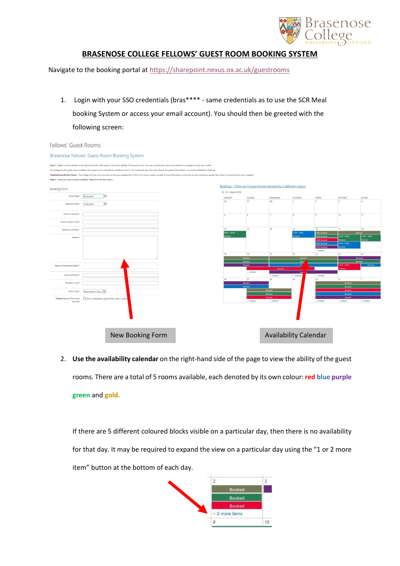

## **BRASENOSE COLLEGE FELLOWS' GUEST ROOM BOOKING SYSTEM**

Navigate to the booking portal a[t https://sharepoint.nexus.ox.ac.uk/guestrooms](https://sharepoint.nexus.ox.ac.uk/guestrooms)

1. Login with your SSO credentials (bras\*\*\*\* - same credentials as to use the SCR Meal booking System or access your email account). You should then be greeted with the following screen:

| Fellows' Guest Rooms                                                        |                         |                                                    |                                                                                                                                                                                            |  |                                                                                                                                                                                                                                |                                       |            |                                                                   |                      |                            |                        |                         |
|-----------------------------------------------------------------------------|-------------------------|----------------------------------------------------|--------------------------------------------------------------------------------------------------------------------------------------------------------------------------------------------|--|--------------------------------------------------------------------------------------------------------------------------------------------------------------------------------------------------------------------------------|---------------------------------------|------------|-------------------------------------------------------------------|----------------------|----------------------------|------------------------|-------------------------|
| Brasenose Fellows' Guest Room Booking System                                |                         |                                                    |                                                                                                                                                                                            |  |                                                                                                                                                                                                                                |                                       |            |                                                                   |                      |                            |                        |                         |
|                                                                             |                         |                                                    | Step 1 - Please use the calendar on the right-hand side of the page to view the availability of the guest rooms. You may use the arrows above the calendar to navigate through the months. |  |                                                                                                                                                                                                                                |                                       |            |                                                                   |                      |                            |                        |                         |
|                                                                             |                         |                                                    |                                                                                                                                                                                            |  | The College has five guest rooms available. Each guest room is denoted by a different colour. If on a particular day, all 5 colour blocks are present, then there is no current availability for that day.                     |                                       |            |                                                                   |                      |                            |                        |                         |
|                                                                             |                         |                                                    |                                                                                                                                                                                            |  | Disabled/Ground Floor Room - The College only has only one room of this type available (Stc IX Rm1); it is colour-coded in purple. If one of the blocks on the day you are choosing is purple, then there is no ground floor r |                                       |            |                                                                   |                      |                            |                        |                         |
| Step 2 - Once you have checked availability, Please fill in the form below. |                         |                                                    |                                                                                                                                                                                            |  |                                                                                                                                                                                                                                |                                       |            |                                                                   |                      |                            |                        |                         |
|                                                                             |                         |                                                    |                                                                                                                                                                                            |  |                                                                                                                                                                                                                                |                                       |            | Bookings - There are 5 Guest Rooms denoted by 5 different colours |                      |                            |                        |                         |
| Booking Form                                                                |                         |                                                    |                                                                                                                                                                                            |  |                                                                                                                                                                                                                                | $\leftarrow$ $\rightarrow$ March 2018 |            |                                                                   |                      |                            |                        |                         |
| Arrival Date *                                                              | 16/03/2018              | E                                                  |                                                                                                                                                                                            |  |                                                                                                                                                                                                                                | MONDAY                                | TUESDAY    | WEDNESDAY                                                         | THURSDAY             | FRIDAY                     | SATURDAY               | SUNDAY                  |
| Departure Date *                                                            | 16/03/2018              | 區                                                  |                                                                                                                                                                                            |  |                                                                                                                                                                                                                                | 26                                    | 27         | 28                                                                |                      | $\overline{2}$             | $\overline{z}$         | $\frac{1}{4}$           |
|                                                                             |                         |                                                    |                                                                                                                                                                                            |  |                                                                                                                                                                                                                                |                                       |            |                                                                   |                      |                            |                        |                         |
| Name of Guest(s) *                                                          |                         |                                                    |                                                                                                                                                                                            |  |                                                                                                                                                                                                                                | S.                                    | 6          | $\overline{7}$                                                    | $\mathcal{R}$        | <b>Q</b>                   | 10                     | 11                      |
| Guest contact e-mail *                                                      |                         |                                                    |                                                                                                                                                                                            |  |                                                                                                                                                                                                                                |                                       |            |                                                                   |                      |                            |                        |                         |
| Telephone Number                                                            |                         |                                                    |                                                                                                                                                                                            |  |                                                                                                                                                                                                                                | 12                                    | 13         | $14$                                                              | 15                   | 16                         | 17                     | 18                      |
|                                                                             |                         |                                                    |                                                                                                                                                                                            |  |                                                                                                                                                                                                                                | 00:00 - 00:00                         |            |                                                                   | 14:00 - 00:00        | 14:00 Booked               |                        | Booked                  |
| Address *                                                                   |                         |                                                    |                                                                                                                                                                                            |  |                                                                                                                                                                                                                                | ooked                                 |            |                                                                   | oked                 | 4:00 Booked<br>4:00 Booked | 4:00 - 00:00<br>looked | 14:00 - 00:00<br>Booked |
|                                                                             |                         |                                                    |                                                                                                                                                                                            |  |                                                                                                                                                                                                                                |                                       |            |                                                                   |                      | 14:00 Booked               | $14:00 - 00:00$        |                         |
|                                                                             |                         |                                                    |                                                                                                                                                                                            |  |                                                                                                                                                                                                                                |                                       |            |                                                                   |                      | 14:00 Booked               | ooked                  |                         |
|                                                                             |                         |                                                    |                                                                                                                                                                                            |  |                                                                                                                                                                                                                                |                                       | 20         |                                                                   | 22                   | - collapse<br>23           | 24                     | 25                      |
|                                                                             |                         |                                                    |                                                                                                                                                                                            |  |                                                                                                                                                                                                                                | 19                                    | Booked     | 21                                                                | Booked               |                            |                        | Booked                  |
|                                                                             |                         |                                                    |                                                                                                                                                                                            |  |                                                                                                                                                                                                                                |                                       | Booked     |                                                                   | Book                 |                            |                        | Booked                  |
| Name of Authorising Fellow *                                                |                         |                                                    |                                                                                                                                                                                            |  |                                                                                                                                                                                                                                |                                       | Booked     |                                                                   | Bo                   |                            | 4:00 - 00:00           | Booked                  |
|                                                                             |                         |                                                    |                                                                                                                                                                                            |  |                                                                                                                                                                                                                                |                                       |            | Booked                                                            |                      |                            | boked                  |                         |
| Name of Booker*                                                             |                         |                                                    |                                                                                                                                                                                            |  |                                                                                                                                                                                                                                |                                       | - collapse |                                                                   | Bod                  |                            |                        |                         |
|                                                                             |                         |                                                    |                                                                                                                                                                                            |  |                                                                                                                                                                                                                                | 26                                    | 27         | » collapse<br>28                                                  | $\sim$ colapse<br>29 | - collapse<br>30           | 31                     |                         |
| Booker's e-mail *                                                           |                         |                                                    |                                                                                                                                                                                            |  |                                                                                                                                                                                                                                |                                       | Booked     |                                                                   |                      |                            | Booked                 |                         |
|                                                                             |                         |                                                    |                                                                                                                                                                                            |  |                                                                                                                                                                                                                                |                                       | Booked     |                                                                   |                      |                            | Booked                 |                         |
| Room Type *                                                                 | Please select a value V |                                                    |                                                                                                                                                                                            |  |                                                                                                                                                                                                                                |                                       |            | <b>Booked</b>                                                     |                      |                            | Booked                 |                         |
|                                                                             |                         |                                                    |                                                                                                                                                                                            |  |                                                                                                                                                                                                                                |                                       |            | Booked                                                            |                      |                            | Booked                 |                         |
| Disabled/ground floor room                                                  |                         | Tick if a disabled or ground floor room is requir- |                                                                                                                                                                                            |  |                                                                                                                                                                                                                                |                                       |            | <b>Booked</b>                                                     |                      |                            | <b>Booked</b>          |                         |
| required?                                                                   |                         |                                                    |                                                                                                                                                                                            |  |                                                                                                                                                                                                                                |                                       | - collapse | - collapse                                                        |                      | - collapse                 | - collapse             | - collapse              |
|                                                                             |                         |                                                    |                                                                                                                                                                                            |  |                                                                                                                                                                                                                                |                                       |            |                                                                   |                      |                            |                        |                         |
|                                                                             |                         |                                                    |                                                                                                                                                                                            |  |                                                                                                                                                                                                                                |                                       |            |                                                                   |                      |                            |                        |                         |
|                                                                             |                         |                                                    |                                                                                                                                                                                            |  |                                                                                                                                                                                                                                |                                       |            |                                                                   |                      |                            |                        |                         |
|                                                                             |                         |                                                    |                                                                                                                                                                                            |  |                                                                                                                                                                                                                                |                                       |            |                                                                   |                      |                            |                        |                         |
|                                                                             |                         |                                                    |                                                                                                                                                                                            |  |                                                                                                                                                                                                                                |                                       |            |                                                                   |                      |                            |                        |                         |
|                                                                             |                         |                                                    |                                                                                                                                                                                            |  |                                                                                                                                                                                                                                |                                       |            |                                                                   |                      |                            |                        |                         |
|                                                                             | New Booking Form        |                                                    |                                                                                                                                                                                            |  |                                                                                                                                                                                                                                |                                       |            | <b>Availability Calendar</b>                                      |                      |                            |                        |                         |
|                                                                             |                         |                                                    |                                                                                                                                                                                            |  |                                                                                                                                                                                                                                |                                       |            |                                                                   |                      |                            |                        |                         |

2. **Use the availability calendar** on the right-hand side of the page to view the ability of the guest rooms. There are a total of 5 rooms available, each denoted by its own colour: **red blue purple green** and **gold.** 

If there are 5 different coloured blocks visible on a particular day, then there is no availability for that day. It may be required to expand the view on a particular day using the "1 or 2 more item" button at the bottom of each day.

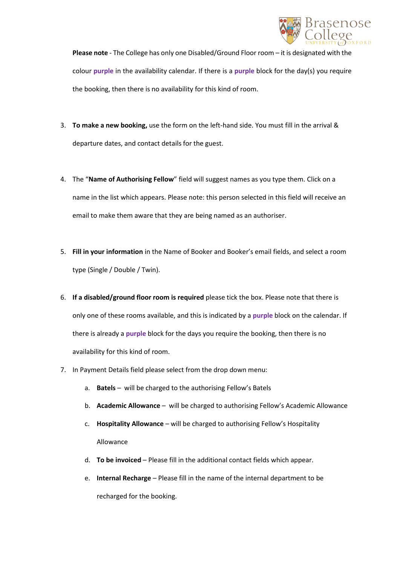

**Please note** - The College has only one Disabled/Ground Floor room – it is designated with the colour **purple** in the availability calendar. If there is a **purple** block for the day(s) you require the booking, then there is no availability for this kind of room.

- 3. **To make a new booking,** use the form on the left-hand side. You must fill in the arrival & departure dates, and contact details for the guest.
- 4. The "**Name of Authorising Fellow**" field will suggest names as you type them. Click on a name in the list which appears. Please note: this person selected in this field will receive an email to make them aware that they are being named as an authoriser.
- 5. **Fill in your information** in the Name of Booker and Booker's email fields, and select a room type (Single / Double / Twin).
- 6. **If a disabled/ground floor room is required** please tick the box. Please note that there is only one of these rooms available, and this is indicated by a **purple** block on the calendar. If there is already a **purple** block for the days you require the booking, then there is no availability for this kind of room.
- 7. In Payment Details field please select from the drop down menu:
	- a. **Batels** will be charged to the authorising Fellow's Batels
	- b. **Academic Allowance** will be charged to authorising Fellow's Academic Allowance
	- c. **Hospitality Allowance** will be charged to authorising Fellow's Hospitality Allowance
	- d. **To be invoiced** Please fill in the additional contact fields which appear.
	- e. **Internal Recharge** Please fill in the name of the internal department to be recharged for the booking.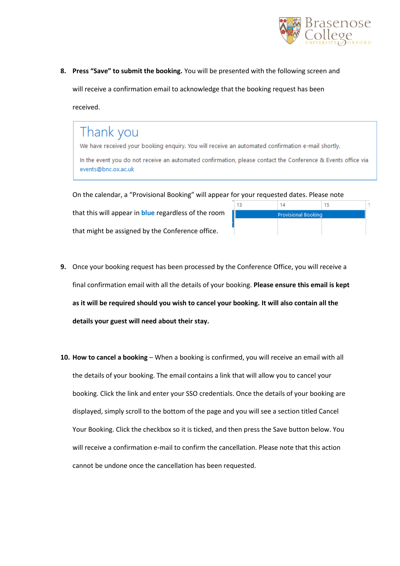

**8. Press "Save" to submit the booking.** You will be presented with the following screen and will receive a confirmation email to acknowledge that the booking request has been received.

## Thank you

We have received your booking enguiry. You will receive an automated confirmation e-mail shortly.

In the event you do not receive an automated confirmation, please contact the Conference & Events office via events@bnc.ox.ac.uk

On the calendar, a "Provisional Booking" will appear for your requested dates. Please note

that might be assigned by the Conference office.

that this will appear in **blue** regardless of the room

|                            | 15. |  |
|----------------------------|-----|--|
| <b>Provisional Booking</b> |     |  |
|                            |     |  |
|                            |     |  |

- **9.** Once your booking request has been processed by the Conference Office, you will receive a final confirmation email with all the details of your booking. **Please ensure this email is kept as it will be required should you wish to cancel your booking. It will also contain all the details your guest will need about their stay.**
- **10. How to cancel a booking** When a booking is confirmed, you will receive an email with all the details of your booking. The email contains a link that will allow you to cancel your booking. Click the link and enter your SSO credentials. Once the details of your booking are displayed, simply scroll to the bottom of the page and you will see a section titled Cancel Your Booking. Click the checkbox so it is ticked, and then press the Save button below. You will receive a confirmation e-mail to confirm the cancellation. Please note that this action cannot be undone once the cancellation has been requested.